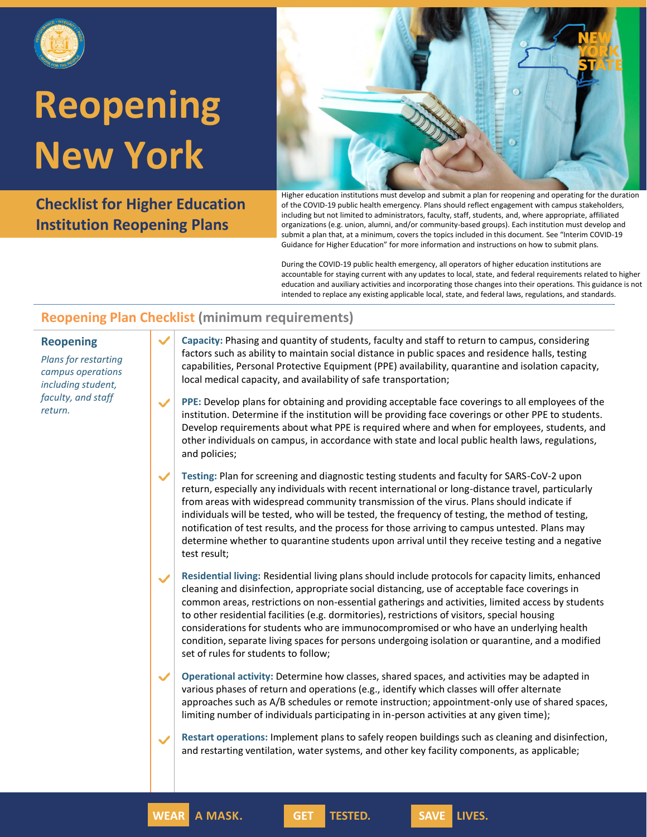

### **Reopening New York**

**Checklist for Higher Education Institution Reopening Plans**



Higher education institutions must develop and submit a plan for reopening and operating for the duration of the COVID-19 public health emergency. Plans should reflect engagement with campus stakeholders, including but not limited to administrators, faculty, staff, students, and, where appropriate, affiliated organizations (e.g. union, alumni, and/or community-based groups). Each institution must develop and submit a plan that, at a minimum, covers the topics included in this document. See "Interim COVID-19 Guidance for Higher Education" for more information and instructions on how to submit plans.

During the COVID-19 public health emergency, all operators of higher education institutions are accountable for staying current with any updates to local, state, and federal requirements related to higher education and auxiliary activities and incorporating those changes into their operations. This guidance is not intended to replace any existing applicable local, state, and federal laws, regulations, and standards.

### **Reopening Plan Checklist (minimum requirements)**

#### **Reopening**

*Plans for restarting campus operations including student, faculty, and staff return.*

**Capacity:** Phasing and quantity of students, faculty and staff to return to campus, considering factors such as ability to maintain social distance in public spaces and residence halls, testing capabilities, Personal Protective Equipment (PPE) availability, quarantine and isolation capacity, local medical capacity, and availability of safe transportation;

- **PPE:** Develop plans for obtaining and providing acceptable face coverings to all employees of the institution. Determine if the institution will be providing face coverings or other PPE to students. Develop requirements about what PPE is required where and when for employees, students, and other individuals on campus, in accordance with state and local public health laws, regulations, and policies;
- **Testing:** Plan for screening and diagnostic testing students and faculty for SARS-CoV-2 upon return, especially any individuals with recent international or long-distance travel, particularly from areas with widespread community transmission of the virus. Plans should indicate if individuals will be tested, who will be tested, the frequency of testing, the method of testing, notification of test results, and the process for those arriving to campus untested. Plans may determine whether to quarantine students upon arrival until they receive testing and a negative test result;
- **Residential living:** Residential living plans should include protocols for capacity limits, enhanced cleaning and disinfection, appropriate social distancing, use of acceptable face coverings in common areas, restrictions on non-essential gatherings and activities, limited access by students to other residential facilities (e.g. dormitories), restrictions of visitors, special housing considerations for students who are immunocompromised or who have an underlying health condition, separate living spaces for persons undergoing isolation or quarantine, and a modified set of rules for students to follow;

**Operational activity:** Determine how classes, shared spaces, and activities may be adapted in various phases of return and operations (e.g., identify which classes will offer alternate approaches such as A/B schedules or remote instruction; appointment-only use of shared spaces, limiting number of individuals participating in in-person activities at any given time);

**Restart operations:** Implement plans to safely reopen buildings such as cleaning and disinfection, and restarting ventilation, water systems, and other key facility components, as applicable;

**WEAR A MASK. GET TESTED. SAVE LIVES.**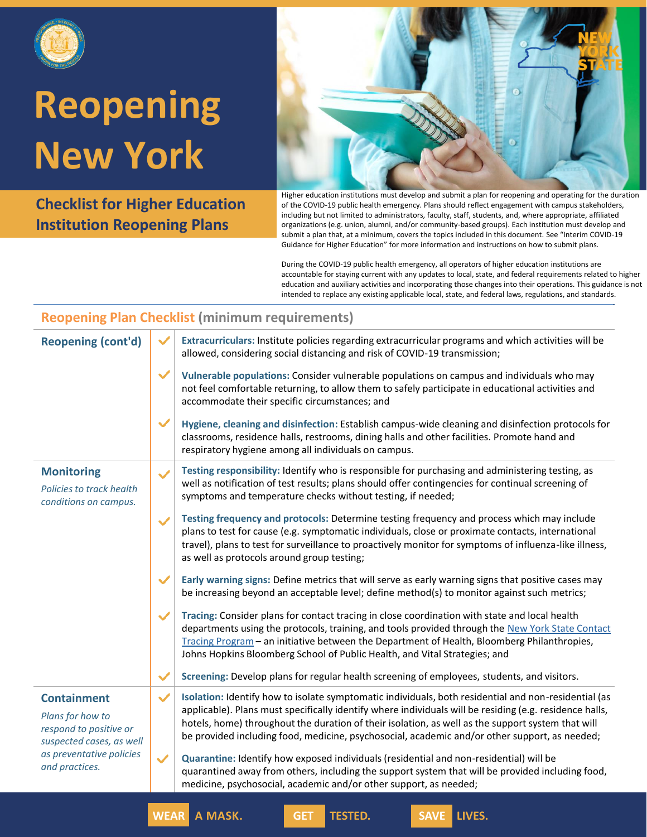

# **Reopening New York**

**Checklist for Higher Education Institution Reopening Plans**



Higher education institutions must develop and submit a plan for reopening and operating for the duration of the COVID-19 public health emergency. Plans should reflect engagement with campus stakeholders, including but not limited to administrators, faculty, staff, students, and, where appropriate, affiliated organizations (e.g. union, alumni, and/or community-based groups). Each institution must develop and submit a plan that, at a minimum, covers the topics included in this document. See "Interim COVID-19 Guidance for Higher Education" for more information and instructions on how to submit plans.

During the COVID-19 public health emergency, all operators of higher education institutions are accountable for staying current with any updates to local, state, and federal requirements related to higher education and auxiliary activities and incorporating those changes into their operations. This guidance is not intended to replace any existing applicable local, state, and federal laws, regulations, and standards.

#### **Reopening Plan Checklist (minimum requirements)**

| <b>Reopening (cont'd)</b>                                                                                                                  | $\checkmark$ | Extracurriculars: Institute policies regarding extracurricular programs and which activities will be<br>allowed, considering social distancing and risk of COVID-19 transmission;                                                                                                                                                                                                                                     |
|--------------------------------------------------------------------------------------------------------------------------------------------|--------------|-----------------------------------------------------------------------------------------------------------------------------------------------------------------------------------------------------------------------------------------------------------------------------------------------------------------------------------------------------------------------------------------------------------------------|
|                                                                                                                                            | $\checkmark$ | Vulnerable populations: Consider vulnerable populations on campus and individuals who may<br>not feel comfortable returning, to allow them to safely participate in educational activities and<br>accommodate their specific circumstances; and                                                                                                                                                                       |
|                                                                                                                                            | ✓            | Hygiene, cleaning and disinfection: Establish campus-wide cleaning and disinfection protocols for<br>classrooms, residence halls, restrooms, dining halls and other facilities. Promote hand and<br>respiratory hygiene among all individuals on campus.                                                                                                                                                              |
| <b>Monitoring</b><br>Policies to track health<br>conditions on campus.                                                                     | $\checkmark$ | Testing responsibility: Identify who is responsible for purchasing and administering testing, as<br>well as notification of test results; plans should offer contingencies for continual screening of<br>symptoms and temperature checks without testing, if needed;                                                                                                                                                  |
|                                                                                                                                            | $\checkmark$ | Testing frequency and protocols: Determine testing frequency and process which may include<br>plans to test for cause (e.g. symptomatic individuals, close or proximate contacts, international<br>travel), plans to test for surveillance to proactively monitor for symptoms of influenza-like illness,<br>as well as protocols around group testing;                                                               |
|                                                                                                                                            | $\checkmark$ | Early warning signs: Define metrics that will serve as early warning signs that positive cases may<br>be increasing beyond an acceptable level; define method(s) to monitor against such metrics;                                                                                                                                                                                                                     |
|                                                                                                                                            | ✓            | Tracing: Consider plans for contact tracing in close coordination with state and local health<br>departments using the protocols, training, and tools provided through the New York State Contact<br>Tracing Program - an initiative between the Department of Health, Bloomberg Philanthropies,<br>Johns Hopkins Bloomberg School of Public Health, and Vital Strategies; and                                        |
|                                                                                                                                            | $\checkmark$ | Screening: Develop plans for regular health screening of employees, students, and visitors.                                                                                                                                                                                                                                                                                                                           |
| <b>Containment</b><br>Plans for how to<br>respond to positive or<br>suspected cases, as well<br>as preventative policies<br>and practices. | $\checkmark$ | Isolation: Identify how to isolate symptomatic individuals, both residential and non-residential (as<br>applicable). Plans must specifically identify where individuals will be residing (e.g. residence halls,<br>hotels, home) throughout the duration of their isolation, as well as the support system that will<br>be provided including food, medicine, psychosocial, academic and/or other support, as needed; |
|                                                                                                                                            | ✓            | Quarantine: Identify how exposed individuals (residential and non-residential) will be<br>quarantined away from others, including the support system that will be provided including food,<br>medicine, psychosocial, academic and/or other support, as needed;                                                                                                                                                       |
|                                                                                                                                            |              |                                                                                                                                                                                                                                                                                                                                                                                                                       |

**WEAR A MASK. GET TESTED. SAVE LIVES.**